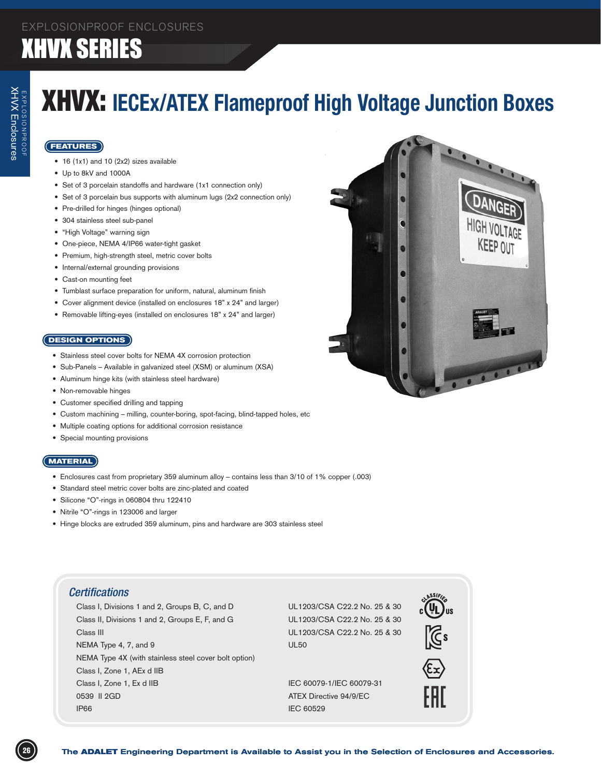# **XHVX SERIES**

# XHVX: **IECEx/ATEX Flameproof High Voltage Junction Boxes**

### **FEATURES**

**EXPLOSIONPROOF<br>XHVX Enclosures** Enclosures

- 16 (1x1) and 10 (2x2) sizes available
- • Up to 8kV and 1000A
- Set of 3 porcelain standoffs and hardware (1x1 connection only)
- Set of 3 porcelain bus supports with aluminum lugs (2x2 connection only)
- • Pre-drilled for hinges (hinges optional)
- 304 stainless steel sub-panel
- • "High Voltage" warning sign
- One-piece, NEMA 4/IP66 water-tight gasket
- Premium, high-strength steel, metric cover bolts
- • Internal/external grounding provisions
- Cast-on mounting feet
- • Tumblast surface preparation for uniform, natural, aluminum finish
- • Cover alignment device (installed on enclosures 18" x 24" and larger)
- • Removable lifting-eyes (installed on enclosures 18" x 24" and larger)

### **DESIGN OPTIONS**

- Stainless steel cover bolts for NEMA 4X corrosion protection
- Sub-Panels Available in galvanized steel (XSM) or aluminum (XSA)
- Aluminum hinge kits (with stainless steel hardware)
- Non-removable hinges
- • Customer specified drilling and tapping
- • Custom machining milling, counter-boring, spot-facing, blind-tapped holes, etc
- • Multiple coating options for additional corrosion resistance
- • Special mounting provisions

#### **MATERIAL**

- Enclosures cast from proprietary 359 aluminum alloy contains less than 3/10 of 1% copper (.003)
- • Standard steel metric cover bolts are zinc-plated and coated
- Silicone "O"-rings in 060804 thru 122410
- • Nitrile "O"-rings in 123006 and larger
- Hinge blocks are extruded 359 aluminum, pins and hardware are 303 stainless steel

### *Certifications*

Class I, Divisions 1 and 2, Groups B, C, and D UL1203/CSA C22.2 No. 25 & 30 Class II, Divisions 1 and 2, Groups E, F, and G UL1203/CSA C22.2 No. 25 & 30 Class III Class III Class III UL1203/CSA C22.2 No. 25 & 30 NEMA Type 4, 7, and 9 UL50 NEMA Type 4X (with stainless steel cover bolt option) Class I, Zone 1, AEx d IIB Class I, Zone 1, Ex d IIB **IEC 60079-1/IEC 60079-31** 0539 II 2GD **ATEX Directive 94/9/EC IP66 IP66 IP66** 

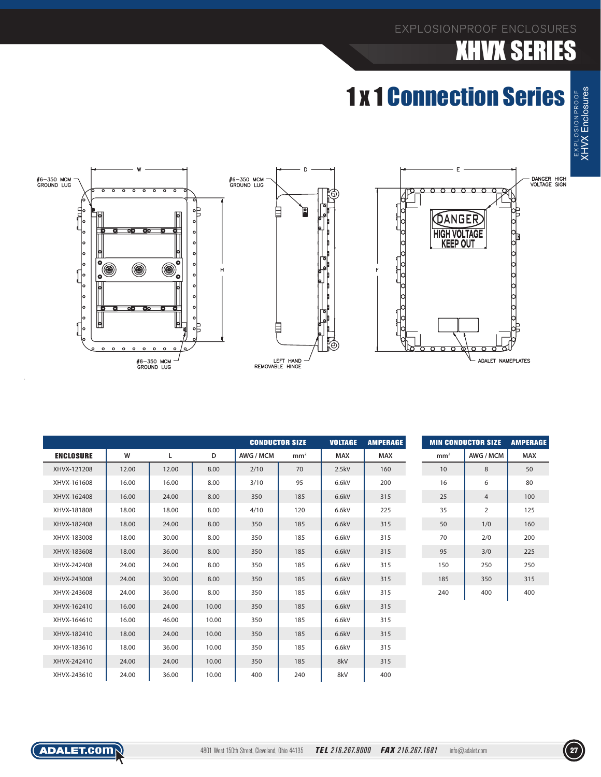# **XHVX SERIES**

# 1 x 1 Connection Series



|                  |       |       |       | <b>CONDUCTOR SIZE</b> |                 | <b>VOLTAGE</b> | <b>AMPERAGE</b> |  |
|------------------|-------|-------|-------|-----------------------|-----------------|----------------|-----------------|--|
| <b>ENCLOSURE</b> | W     | L     | D     | AWG / MCM             | mm <sup>2</sup> | <b>MAX</b>     | <b>MAX</b>      |  |
| XHVX-121208      | 12.00 | 12.00 | 8.00  | 2/10                  | 70              | 2.5kV          | 160             |  |
| XHVX-161608      | 16.00 | 16.00 | 8.00  | 3/10                  | 95              | 6.6kV          | 200             |  |
| XHVX-162408      | 16.00 | 24.00 | 8.00  | 350                   | 185             | 6.6kV          | 315             |  |
| XHVX-181808      | 18.00 | 18.00 | 8.00  | 4/10                  | 120             | 6.6kV          | 225             |  |
| XHVX-182408      | 18.00 | 24.00 | 8.00  | 350                   | 185             | 6.6kV          | 315             |  |
| XHVX-183008      | 18.00 | 30.00 | 8.00  | 350                   | 185             | 6.6kV          | 315             |  |
| XHVX-183608      | 18.00 | 36.00 | 8.00  | 350                   | 185             | 6.6kV          | 315             |  |
| XHVX-242408      | 24.00 | 24.00 | 8.00  | 350                   | 185             | 6.6kV          | 315             |  |
| XHVX-243008      | 24.00 | 30.00 | 8.00  | 350                   | 185             | 6.6kV          | 315             |  |
| XHVX-243608      | 24.00 | 36.00 | 8.00  | 350                   | 185             | 6.6kV          | 315             |  |
| XHVX-162410      | 16.00 | 24.00 | 10.00 | 350                   | 185             | 6.6kV          | 315             |  |
| XHVX-164610      | 16.00 | 46.00 | 10.00 | 350                   | 185             | 6.6kV          | 315             |  |
| XHVX-182410      | 18.00 | 24.00 | 10.00 | 350                   | 185             | 6.6kV          | 315             |  |
| XHVX-183610      | 18.00 | 36.00 | 10.00 | 350                   | 185             | 6.6kV          | 315             |  |
| XHVX-242410      | 24.00 | 24.00 | 10.00 | 350                   | 185             | 8kV            | 315             |  |
| XHVX-243610      | 24.00 | 36.00 | 10.00 | 400                   | 240             | 8kV            | 400             |  |

| <b>MIN CONDUCTOR SIZE</b> | <b>AMPERAGE</b> |            |  |  |  |  |
|---------------------------|-----------------|------------|--|--|--|--|
| mm <sup>2</sup>           | AWG / MCM       | <b>MAX</b> |  |  |  |  |
| 10                        | 8               | 50         |  |  |  |  |
| 16                        | 6               | 80         |  |  |  |  |
| 25                        | $\overline{4}$  | 100        |  |  |  |  |
| 35                        | $\overline{2}$  | 125        |  |  |  |  |
| 50                        | 1/0             | 160        |  |  |  |  |
| 70                        | 2/0             | 200        |  |  |  |  |
| 95                        | 3/0             | 225        |  |  |  |  |
| 150                       | 250             | 250        |  |  |  |  |
| 185                       | 350             | 315        |  |  |  |  |
| 240                       | 400             | 400        |  |  |  |  |